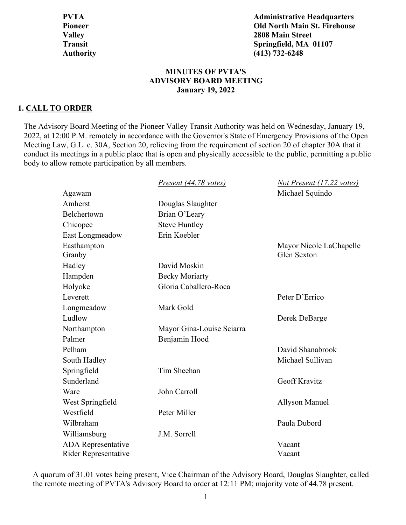**PVTA Administrative Headquarters Pioneer Old North Main St. Firehouse Valley 2808 Main Street Transit Springfield, MA 01107 Authority (413) 732-6248** 

### **MINUTES OF PVTA'S ADVISORY BOARD MEETING January 19, 2022**

#### **1. CALL TO ORDER**

The Advisory Board Meeting of the Pioneer Valley Transit Authority was held on Wednesday, January 19, 2022, at 12:00 P.M. remotely in accordance with the Governor's State of Emergency Provisions of the Open Meeting Law, G.L. c. 30A, Section 20, relieving from the requirement of section 20 of chapter 30A that it conduct its meetings in a public place that is open and physically accessible to the public, permitting a public body to allow remote participation by all members.

|                             | Present (44.78 votes)     | Not Present (17.22 votes) |
|-----------------------------|---------------------------|---------------------------|
| Agawam                      |                           | Michael Squindo           |
| Amherst                     | Douglas Slaughter         |                           |
| Belchertown                 | Brian O'Leary             |                           |
| Chicopee                    | <b>Steve Huntley</b>      |                           |
| East Longmeadow             | Erin Koebler              |                           |
| Easthampton                 |                           | Mayor Nicole LaChapelle   |
| Granby                      |                           | <b>Glen Sexton</b>        |
| Hadley                      | David Moskin              |                           |
| Hampden                     | <b>Becky Moriarty</b>     |                           |
| Holyoke                     | Gloria Caballero-Roca     |                           |
| Leverett                    |                           | Peter D'Errico            |
| Longmeadow                  | Mark Gold                 |                           |
| Ludlow                      |                           | Derek DeBarge             |
| Northampton                 | Mayor Gina-Louise Sciarra |                           |
| Palmer                      | Benjamin Hood             |                           |
| Pelham                      |                           | David Shanabrook          |
| South Hadley                |                           | Michael Sullivan          |
| Springfield                 | Tim Sheehan               |                           |
| Sunderland                  |                           | <b>Geoff Kravitz</b>      |
| Ware                        | John Carroll              |                           |
| West Springfield            |                           | <b>Allyson Manuel</b>     |
| Westfield                   | Peter Miller              |                           |
| Wilbraham                   |                           | Paula Dubord              |
| Williamsburg                | J.M. Sorrell              |                           |
| <b>ADA</b> Representative   |                           | Vacant                    |
| <b>Rider Representative</b> |                           | Vacant                    |

A quorum of 31.01 votes being present, Vice Chairman of the Advisory Board, Douglas Slaughter, called the remote meeting of PVTA's Advisory Board to order at 12:11 PM; majority vote of 44.78 present.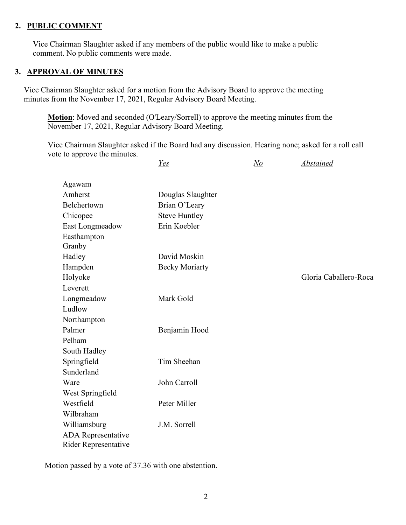## **2. PUBLIC COMMENT**

Vice Chairman Slaughter asked if any members of the public would like to make a public comment. No public comments were made.

### **3. APPROVAL OF MINUTES**

Vice Chairman Slaughter asked for a motion from the Advisory Board to approve the meeting minutes from the November 17, 2021, Regular Advisory Board Meeting.

**Motion**: Moved and seconded (O'Leary/Sorrell) to approve the meeting minutes from the November 17, 2021, Regular Advisory Board Meeting.

Vice Chairman Slaughter asked if the Board had any discussion. Hearing none; asked for a roll call vote to approve the minutes.

*Yes No Abstained* 

| Agawam               |                       |                       |
|----------------------|-----------------------|-----------------------|
| Amherst              | Douglas Slaughter     |                       |
| Belchertown          | Brian O'Leary         |                       |
| Chicopee             | <b>Steve Huntley</b>  |                       |
| East Longmeadow      | Erin Koebler          |                       |
| Easthampton          |                       |                       |
| Granby               |                       |                       |
| Hadley               | David Moskin          |                       |
| Hampden              | <b>Becky Moriarty</b> |                       |
| Holyoke              |                       | Gloria Caballero-Roca |
| Leverett             |                       |                       |
| Longmeadow           | Mark Gold             |                       |
| Ludlow               |                       |                       |
| Northampton          |                       |                       |
| Palmer               | Benjamin Hood         |                       |
| Pelham               |                       |                       |
| South Hadley         |                       |                       |
| Springfield          | Tim Sheehan           |                       |
| Sunderland           |                       |                       |
| Ware                 | John Carroll          |                       |
| West Springfield     |                       |                       |
| Westfield            | Peter Miller          |                       |
| Wilbraham            |                       |                       |
| Williamsburg         | J.M. Sorrell          |                       |
| ADA Representative   |                       |                       |
| Rider Representative |                       |                       |
|                      |                       |                       |

Motion passed by a vote of 37.36 with one abstention.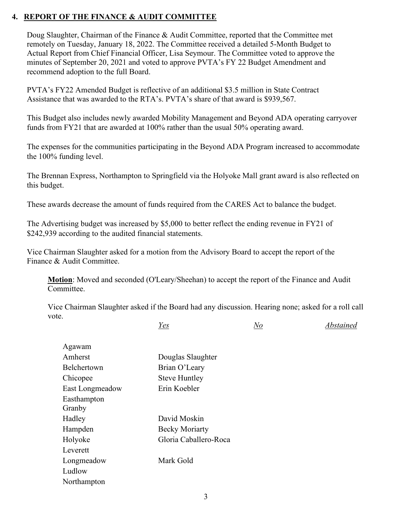## **4. REPORT OF THE FINANCE & AUDIT COMMITTEE**

Doug Slaughter, Chairman of the Finance & Audit Committee, reported that the Committee met remotely on Tuesday, January 18, 2022. The Committee received a detailed 5-Month Budget to Actual Report from Chief Financial Officer, Lisa Seymour. The Committee voted to approve the minutes of September 20, 2021 and voted to approve PVTA's FY 22 Budget Amendment and recommend adoption to the full Board.

PVTA's FY22 Amended Budget is reflective of an additional \$3.5 million in State Contract Assistance that was awarded to the RTA's. PVTA's share of that award is \$939,567.

This Budget also includes newly awarded Mobility Management and Beyond ADA operating carryover funds from FY21 that are awarded at 100% rather than the usual 50% operating award.

The expenses for the communities participating in the Beyond ADA Program increased to accommodate the 100% funding level.

The Brennan Express, Northampton to Springfield via the Holyoke Mall grant award is also reflected on this budget.

These awards decrease the amount of funds required from the CARES Act to balance the budget.

The Advertising budget was increased by \$5,000 to better reflect the ending revenue in FY21 of \$242,939 according to the audited financial statements.

Vice Chairman Slaughter asked for a motion from the Advisory Board to accept the report of the Finance & Audit Committee.

**Motion**: Moved and seconded (O'Leary/Sheehan) to accept the report of the Finance and Audit Committee.

Vice Chairman Slaughter asked if the Board had any discussion. Hearing none; asked for a roll call vote.

*Yes No Abstained* 

| Agawam<br>Amherst      |                       |
|------------------------|-----------------------|
|                        | Douglas Slaughter     |
| <b>Belchertown</b>     | Brian O'Leary         |
| Chicopee               | <b>Steve Huntley</b>  |
| <b>East Longmeadow</b> | Erin Koebler          |
| Easthampton            |                       |
| Granby                 |                       |
| Hadley                 | David Moskin          |
| Hampden                | <b>Becky Moriarty</b> |
| Holyoke                | Gloria Caballero-Roca |
| Leverett               |                       |
| Longmeadow             | Mark Gold             |
| Ludlow                 |                       |
| Northampton            |                       |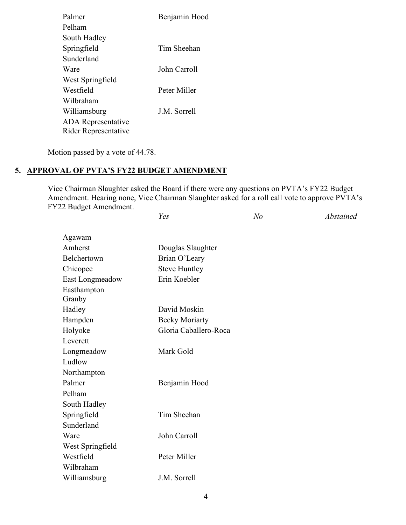| Palmer                    | Benjamin Hood       |
|---------------------------|---------------------|
| Pelham                    |                     |
| South Hadley              |                     |
| Springfield               | Tim Sheehan         |
| Sunderland                |                     |
| Ware                      | John Carroll        |
| West Springfield          |                     |
| Westfield                 | Peter Miller        |
| Wilbraham                 |                     |
| Williamsburg              | <b>J.M.</b> Sorrell |
| <b>ADA</b> Representative |                     |
| Rider Representative      |                     |

Motion passed by a vote of 44.78.

## **5. APPROVAL OF PVTA'S FY22 BUDGET AMENDMENT**

Vice Chairman Slaughter asked the Board if there were any questions on PVTA's FY22 Budget Amendment. Hearing none, Vice Chairman Slaughter asked for a roll call vote to approve PVTA's FY22 Budget Amendment. *Yes No Abstained* 

| Agawam                |                       |  |
|-----------------------|-----------------------|--|
| Amherst               | Douglas Slaughter     |  |
| Belchertown           | Brian O'Leary         |  |
| Chicopee              | <b>Steve Huntley</b>  |  |
| East Longmeadow       | Erin Koebler          |  |
| Easthampton<br>Granby |                       |  |
| Hadley                | David Moskin          |  |
| Hampden               | <b>Becky Moriarty</b> |  |
| Holyoke               | Gloria Caballero-Roca |  |
| Leverett              |                       |  |
| Longmeadow            | Mark Gold             |  |
| Ludlow                |                       |  |
| Northampton           |                       |  |
| Palmer                | Benjamin Hood         |  |
| Pelham                |                       |  |
| South Hadley          |                       |  |
| Springfield           | Tim Sheehan           |  |
| Sunderland            |                       |  |
| Ware                  | John Carroll          |  |
| West Springfield      |                       |  |
| Westfield             | Peter Miller          |  |
| Wilbraham             |                       |  |
| Williamsburg          | J.M. Sorrell          |  |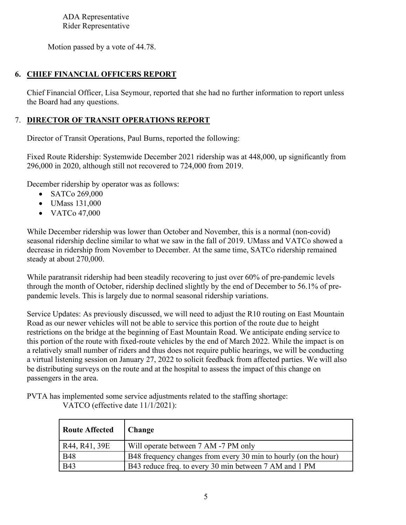ADA Representative Rider Representative

Motion passed by a vote of 44.78.

## **6. CHIEF FINANCIAL OFFICERS REPORT**

Chief Financial Officer, Lisa Seymour, reported that she had no further information to report unless the Board had any questions.

## 7. **DIRECTOR OF TRANSIT OPERATIONS REPORT**

Director of Transit Operations, Paul Burns, reported the following:

Fixed Route Ridership: Systemwide December 2021 ridership was at 448,000, up significantly from 296,000 in 2020, although still not recovered to 724,000 from 2019.

December ridership by operator was as follows:

- SATCo 269,000
- UMass 131,000
- VATCo 47,000

While December ridership was lower than October and November, this is a normal (non-covid) seasonal ridership decline similar to what we saw in the fall of 2019. UMass and VATCo showed a decrease in ridership from November to December. At the same time, SATCo ridership remained steady at about 270,000.

While paratransit ridership had been steadily recovering to just over 60% of pre-pandemic levels through the month of October, ridership declined slightly by the end of December to 56.1% of prepandemic levels. This is largely due to normal seasonal ridership variations.

Service Updates: As previously discussed, we will need to adjust the R10 routing on East Mountain Road as our newer vehicles will not be able to service this portion of the route due to height restrictions on the bridge at the beginning of East Mountain Road. We anticipate ending service to this portion of the route with fixed-route vehicles by the end of March 2022. While the impact is on a relatively small number of riders and thus does not require public hearings, we will be conducting a virtual listening session on January 27, 2022 to solicit feedback from affected parties. We will also be distributing surveys on the route and at the hospital to assess the impact of this change on passengers in the area.

PVTA has implemented some service adjustments related to the staffing shortage: VATCO (effective date 11/1/2021):

| Route Affected   Change |                                                                 |
|-------------------------|-----------------------------------------------------------------|
| R44, R41, 39E           | Will operate between 7 AM -7 PM only                            |
| <b>B48</b>              | B48 frequency changes from every 30 min to hourly (on the hour) |
| <b>B43</b>              | B43 reduce freq. to every 30 min between 7 AM and 1 PM          |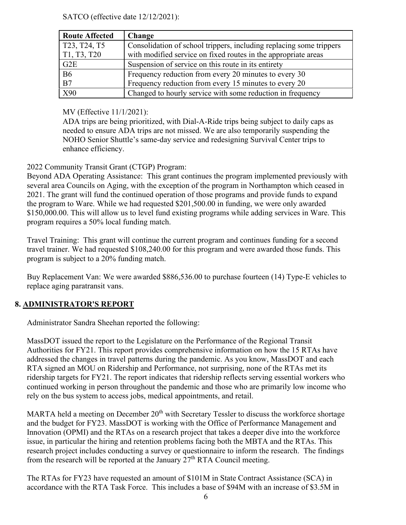SATCO (effective date 12/12/2021):

| <b>Route Affected</b>       | Change                                                                                                                                |
|-----------------------------|---------------------------------------------------------------------------------------------------------------------------------------|
| T23, T24, T5<br>T1, T3, T20 | Consolidation of school trippers, including replacing some trippers<br>with modified service on fixed routes in the appropriate areas |
| G2E                         | Suspension of service on this route in its entirety                                                                                   |
| <b>B6</b>                   | Frequency reduction from every 20 minutes to every 30                                                                                 |
| B7                          | Frequency reduction from every 15 minutes to every 20                                                                                 |
| X90                         | Changed to hourly service with some reduction in frequency                                                                            |

MV (Effective 11/1/2021):

ADA trips are being prioritized, with Dial-A-Ride trips being subject to daily caps as needed to ensure ADA trips are not missed. We are also temporarily suspending the NOHO Senior Shuttle's same-day service and redesigning Survival Center trips to enhance efficiency.

# 2022 Community Transit Grant (CTGP) Program:

Beyond ADA Operating Assistance: This grant continues the program implemented previously with several area Councils on Aging, with the exception of the program in Northampton which ceased in 2021. The grant will fund the continued operation of those programs and provide funds to expand the program to Ware. While we had requested \$201,500.00 in funding, we were only awarded \$150,000.00. This will allow us to level fund existing programs while adding services in Ware. This program requires a 50% local funding match.

Travel Training: This grant will continue the current program and continues funding for a second travel trainer. We had requested \$108,240.00 for this program and were awarded those funds. This program is subject to a 20% funding match.

Buy Replacement Van: We were awarded \$886,536.00 to purchase fourteen (14) Type-E vehicles to replace aging paratransit vans.

# **8. ADMINISTRATOR'S REPORT**

Administrator Sandra Sheehan reported the following:

MassDOT issued the report to the Legislature on the Performance of the Regional Transit Authorities for FY21. This report provides comprehensive information on how the 15 RTAs have addressed the changes in travel patterns during the pandemic. As you know, MassDOT and each RTA signed an MOU on Ridership and Performance, not surprising, none of the RTAs met its ridership targets for FY21. The report indicates that ridership reflects serving essential workers who continued working in person throughout the pandemic and those who are primarily low income who rely on the bus system to access jobs, medical appointments, and retail.

MARTA held a meeting on December  $20<sup>th</sup>$  with Secretary Tessler to discuss the workforce shortage and the budget for FY23. MassDOT is working with the Office of Performance Management and Innovation (OPMI) and the RTAs on a research project that takes a deeper dive into the workforce issue, in particular the hiring and retention problems facing both the MBTA and the RTAs. This research project includes conducting a survey or questionnaire to inform the research. The findings from the research will be reported at the January  $27<sup>th</sup> RTA$  Council meeting.

The RTAs for FY23 have requested an amount of \$101M in State Contract Assistance (SCA) in accordance with the RTA Task Force. This includes a base of \$94M with an increase of \$3.5M in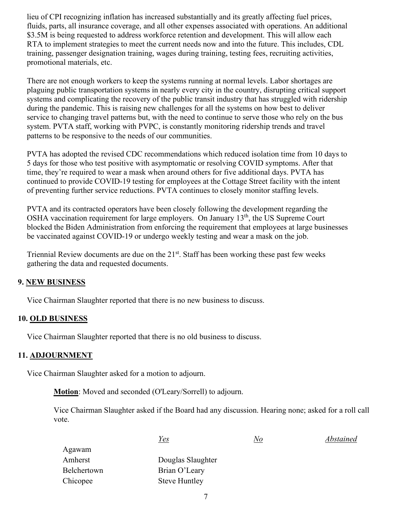lieu of CPI recognizing inflation has increased substantially and its greatly affecting fuel prices, fluids, parts, all insurance coverage, and all other expenses associated with operations. An additional \$3.5M is being requested to address workforce retention and development. This will allow each RTA to implement strategies to meet the current needs now and into the future. This includes, CDL training, passenger designation training, wages during training, testing fees, recruiting activities, promotional materials, etc.

There are not enough workers to keep the systems running at normal levels. Labor shortages are plaguing public transportation systems in nearly every city in the country, disrupting critical support systems and complicating the recovery of the public transit industry that has struggled with ridership during the pandemic. This is raising new challenges for all the systems on how best to deliver service to changing travel patterns but, with the need to continue to serve those who rely on the bus system. PVTA staff, working with PVPC, is constantly monitoring ridership trends and travel patterns to be responsive to the needs of our communities.

PVTA has adopted the revised CDC recommendations which reduced isolation time from 10 days to 5 days for those who test positive with asymptomatic or resolving COVID symptoms. After that time, they're required to wear a mask when around others for five additional days. PVTA has continued to provide COVID-19 testing for employees at the Cottage Street facility with the intent of preventing further service reductions. PVTA continues to closely monitor staffing levels.

PVTA and its contracted operators have been closely following the development regarding the OSHA vaccination requirement for large employers. On January 13<sup>th</sup>, the US Supreme Court blocked the Biden Administration from enforcing the requirement that employees at large businesses be vaccinated against COVID-19 or undergo weekly testing and wear a mask on the job.

Triennial Review documents are due on the  $21<sup>st</sup>$ . Staff has been working these past few weeks gathering the data and requested documents.

## **9. NEW BUSINESS**

Vice Chairman Slaughter reported that there is no new business to discuss.

### **10. OLD BUSINESS**

Vice Chairman Slaughter reported that there is no old business to discuss.

#### **11. ADJOURNMENT**

Vice Chairman Slaughter asked for a motion to adjourn.

**Motion**: Moved and seconded (O'Leary/Sorrell) to adjourn.

Vice Chairman Slaughter asked if the Board had any discussion. Hearing none; asked for a roll call vote.

|             | <u>Yes</u>           | N o | Abstained |
|-------------|----------------------|-----|-----------|
| Agawam      |                      |     |           |
| Amherst     | Douglas Slaughter    |     |           |
| Belchertown | Brian O'Leary        |     |           |
| Chicopee    | <b>Steve Huntley</b> |     |           |
|             |                      |     |           |